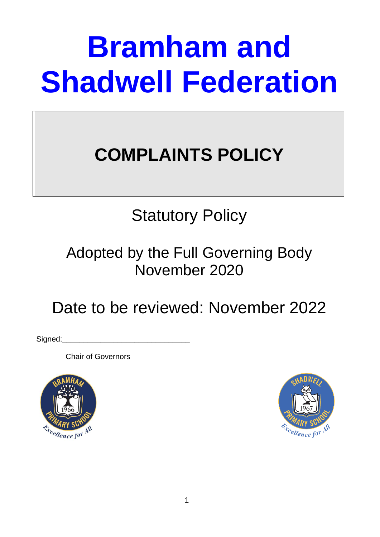# **Bramham and Shadwell Federation**

# **COMPLAINTS POLICY**

## Statutory Policy

### Adopted by the Full Governing Body November 2020

### Date to be reviewed: November 2022

Signed:

Chair of Governors



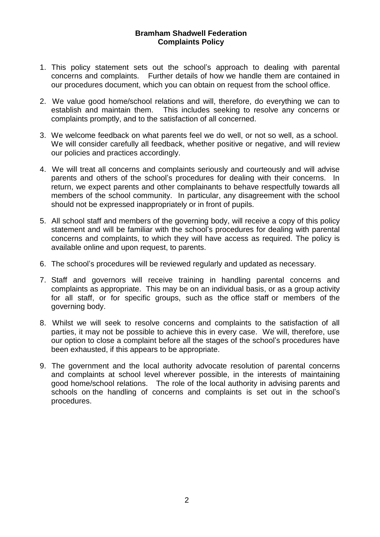#### **Bramham Shadwell Federation Complaints Policy**

- 1. This policy statement sets out the school's approach to dealing with parental concerns and complaints. Further details of how we handle them are contained in our procedures document, which you can obtain on request from the school office.
- 2. We value good home/school relations and will, therefore, do everything we can to establish and maintain them. This includes seeking to resolve any concerns or complaints promptly, and to the satisfaction of all concerned.
- 3. We welcome feedback on what parents feel we do well, or not so well, as a school. We will consider carefully all feedback, whether positive or negative, and will review our policies and practices accordingly.
- 4. We will treat all concerns and complaints seriously and courteously and will advise parents and others of the school's procedures for dealing with their concerns. In return, we expect parents and other complainants to behave respectfully towards all members of the school community. In particular, any disagreement with the school should not be expressed inappropriately or in front of pupils.
- 5. All school staff and members of the governing body, will receive a copy of this policy statement and will be familiar with the school's procedures for dealing with parental concerns and complaints, to which they will have access as required. The policy is available online and upon request, to parents.
- 6. The school's procedures will be reviewed regularly and updated as necessary.
- 7. Staff and governors will receive training in handling parental concerns and complaints as appropriate. This may be on an individual basis, or as a group activity for all staff, or for specific groups, such as the office staff or members of the governing body.
- 8. Whilst we will seek to resolve concerns and complaints to the satisfaction of all parties, it may not be possible to achieve this in every case. We will, therefore, use our option to close a complaint before all the stages of the school's procedures have been exhausted, if this appears to be appropriate.
- 9. The government and the local authority advocate resolution of parental concerns and complaints at school level wherever possible, in the interests of maintaining good home/school relations. The role of the local authority in advising parents and schools on the handling of concerns and complaints is set out in the school's procedures.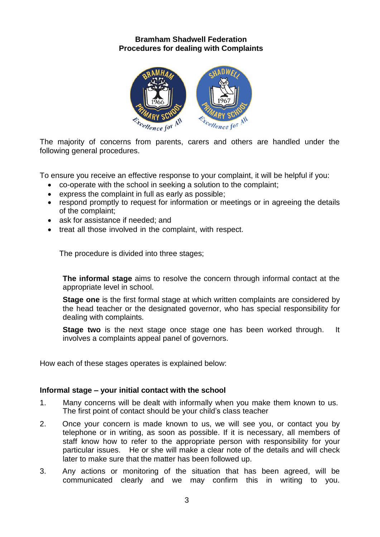#### **Bramham Shadwell Federation Procedures for dealing with Complaints**



The majority of concerns from parents, carers and others are handled under the following general procedures.

To ensure you receive an effective response to your complaint, it will be helpful if you:

- co-operate with the school in seeking a solution to the complaint;
- express the complaint in full as early as possible;
- respond promptly to request for information or meetings or in agreeing the details of the complaint;
- ask for assistance if needed: and
- treat all those involved in the complaint, with respect.

The procedure is divided into three stages;

**The informal stage** aims to resolve the concern through informal contact at the appropriate level in school.

**Stage one** is the first formal stage at which written complaints are considered by the head teacher or the designated governor, who has special responsibility for dealing with complaints.

**Stage two** is the next stage once stage one has been worked through. It involves a complaints appeal panel of governors.

How each of these stages operates is explained below:

#### **Informal stage – your initial contact with the school**

- 1. Many concerns will be dealt with informally when you make them known to us. The first point of contact should be your child's class teacher
- 2. Once your concern is made known to us, we will see you, or contact you by telephone or in writing, as soon as possible. If it is necessary, all members of staff know how to refer to the appropriate person with responsibility for your particular issues. He or she will make a clear note of the details and will check later to make sure that the matter has been followed up.
- 3. Any actions or monitoring of the situation that has been agreed, will be communicated clearly and we may confirm this in writing to you.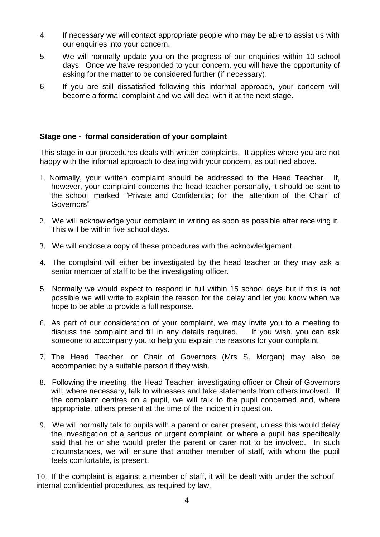- 4. If necessary we will contact appropriate people who may be able to assist us with our enquiries into your concern.
- 5. We will normally update you on the progress of our enquiries within 10 school days. Once we have responded to your concern, you will have the opportunity of asking for the matter to be considered further (if necessary).
- 6. If you are still dissatisfied following this informal approach, your concern will become a formal complaint and we will deal with it at the next stage.

#### **Stage one - formal consideration of your complaint**

This stage in our procedures deals with written complaints. It applies where you are not happy with the informal approach to dealing with your concern, as outlined above.

- 1. Normally, your written complaint should be addressed to the Head Teacher. If, however, your complaint concerns the head teacher personally, it should be sent to the school marked "Private and Confidential; for the attention of the Chair of Governors"
- 2. We will acknowledge your complaint in writing as soon as possible after receiving it. This will be within five school days.
- 3. We will enclose a copy of these procedures with the acknowledgement.
- 4. The complaint will either be investigated by the head teacher or they may ask a senior member of staff to be the investigating officer.
- 5. Normally we would expect to respond in full within 15 school days but if this is not possible we will write to explain the reason for the delay and let you know when we hope to be able to provide a full response.
- 6. As part of our consideration of your complaint, we may invite you to a meeting to discuss the complaint and fill in any details required. If you wish, you can ask someone to accompany you to help you explain the reasons for your complaint.
- 7. The Head Teacher, or Chair of Governors (Mrs S. Morgan) may also be accompanied by a suitable person if they wish.
- 8. Following the meeting, the Head Teacher, investigating officer or Chair of Governors will, where necessary, talk to witnesses and take statements from others involved. If the complaint centres on a pupil, we will talk to the pupil concerned and, where appropriate, others present at the time of the incident in question.
- 9. We will normally talk to pupils with a parent or carer present, unless this would delay the investigation of a serious or urgent complaint, or where a pupil has specifically said that he or she would prefer the parent or carer not to be involved. In such circumstances, we will ensure that another member of staff, with whom the pupil feels comfortable, is present.

10. If the complaint is against a member of staff, it will be dealt with under the school' internal confidential procedures, as required by law.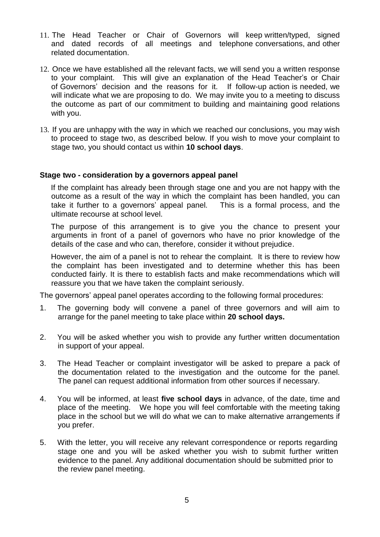- 11. The Head Teacher or Chair of Governors will keep written/typed, signed and dated records of all meetings and telephone conversations, and other related documentation.
- 12. Once we have established all the relevant facts, we will send you a written response to your complaint. This will give an explanation of the Head Teacher's or Chair of Governors' decision and the reasons for it. If follow-up action is needed, we will indicate what we are proposing to do. We may invite you to a meeting to discuss the outcome as part of our commitment to building and maintaining good relations with you.
- 13. If you are unhappy with the way in which we reached our conclusions, you may wish to proceed to stage two, as described below. If you wish to move your complaint to stage two, you should contact us within **10 school days**.

#### **Stage two - consideration by a governors appeal panel**

If the complaint has already been through stage one and you are not happy with the outcome as a result of the way in which the complaint has been handled, you can take it further to a governors' appeal panel. This is a formal process, and the ultimate recourse at school level.

The purpose of this arrangement is to give you the chance to present your arguments in front of a panel of governors who have no prior knowledge of the details of the case and who can, therefore, consider it without prejudice.

However, the aim of a panel is not to rehear the complaint. It is there to review how the complaint has been investigated and to determine whether this has been conducted fairly. It is there to establish facts and make recommendations which will reassure you that we have taken the complaint seriously.

The governors' appeal panel operates according to the following formal procedures:

- 1. The governing body will convene a panel of three governors and will aim to arrange for the panel meeting to take place within **20 school days.**
- 2. You will be asked whether you wish to provide any further written documentation in support of your appeal.
- 3. The Head Teacher or complaint investigator will be asked to prepare a pack of the documentation related to the investigation and the outcome for the panel. The panel can request additional information from other sources if necessary.
- 4. You will be informed, at least **five school days** in advance, of the date, time and place of the meeting. We hope you will feel comfortable with the meeting taking place in the school but we will do what we can to make alternative arrangements if you prefer.
- 5. With the letter, you will receive any relevant correspondence or reports regarding stage one and you will be asked whether you wish to submit further written evidence to the panel. Any additional documentation should be submitted prior to the review panel meeting.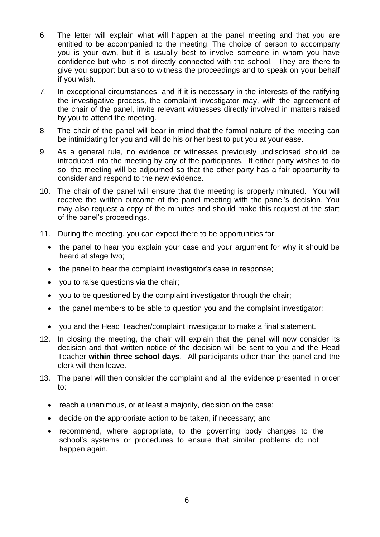- 6. The letter will explain what will happen at the panel meeting and that you are entitled to be accompanied to the meeting. The choice of person to accompany you is your own, but it is usually best to involve someone in whom you have confidence but who is not directly connected with the school. They are there to give you support but also to witness the proceedings and to speak on your behalf if you wish.
- 7. In exceptional circumstances, and if it is necessary in the interests of the ratifying the investigative process, the complaint investigator may, with the agreement of the chair of the panel, invite relevant witnesses directly involved in matters raised by you to attend the meeting.
- 8. The chair of the panel will bear in mind that the formal nature of the meeting can be intimidating for you and will do his or her best to put you at your ease.
- 9. As a general rule, no evidence or witnesses previously undisclosed should be introduced into the meeting by any of the participants. If either party wishes to do so, the meeting will be adjourned so that the other party has a fair opportunity to consider and respond to the new evidence.
- 10. The chair of the panel will ensure that the meeting is properly minuted. You will receive the written outcome of the panel meeting with the panel's decision. You may also request a copy of the minutes and should make this request at the start of the panel's proceedings.
- 11. During the meeting, you can expect there to be opportunities for:
	- the panel to hear you explain your case and your argument for why it should be heard at stage two;
	- the panel to hear the complaint investigator's case in response;
	- you to raise questions via the chair;
	- you to be questioned by the complaint investigator through the chair;
	- the panel members to be able to question you and the complaint investigator;
	- you and the Head Teacher/complaint investigator to make a final statement.
- 12. In closing the meeting, the chair will explain that the panel will now consider its decision and that written notice of the decision will be sent to you and the Head Teacher **within three school days**. All participants other than the panel and the clerk will then leave.
- 13. The panel will then consider the complaint and all the evidence presented in order to:
	- reach a unanimous, or at least a majority, decision on the case;
	- decide on the appropriate action to be taken, if necessary; and
	- recommend, where appropriate, to the governing body changes to the school's systems or procedures to ensure that similar problems do not happen again.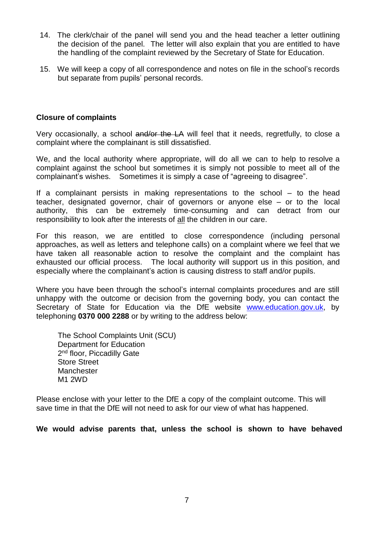- 14. The clerk/chair of the panel will send you and the head teacher a letter outlining the decision of the panel. The letter will also explain that you are entitled to have the handling of the complaint reviewed by the Secretary of State for Education.
- 15. We will keep a copy of all correspondence and notes on file in the school's records but separate from pupils' personal records.

#### **Closure of complaints**

Very occasionally, a school and/or the LA will feel that it needs, regretfully, to close a complaint where the complainant is still dissatisfied.

We, and the local authority where appropriate, will do all we can to help to resolve a complaint against the school but sometimes it is simply not possible to meet all of the complainant's wishes. Sometimes it is simply a case of "agreeing to disagree".

If a complainant persists in making representations to the school – to the head teacher, designated governor, chair of governors or anyone else – or to the local authority, this can be extremely time-consuming and can detract from our responsibility to look after the interests of all the children in our care.

For this reason, we are entitled to close correspondence (including personal approaches, as well as letters and telephone calls) on a complaint where we feel that we have taken all reasonable action to resolve the complaint and the complaint has exhausted our official process. The local authority will support us in this position, and especially where the complainant's action is causing distress to staff and/or pupils.

Where you have been through the school's internal complaints procedures and are still unhappy with the outcome or decision from the governing body, you can contact the Secretary of State for Education via the DfE website [www.education.gov.uk,](http://www.education.gov.uk/) by telephoning **0370 000 2288** or by writing to the address below:

The School Complaints Unit (SCU) Department for Education 2<sup>nd</sup> floor, Piccadilly Gate Store Street **Manchester** M1 2WD

Please enclose with your letter to the DfE a copy of the complaint outcome. This will save time in that the DfE will not need to ask for our view of what has happened.

**We would advise parents that, unless the school is shown to have behaved**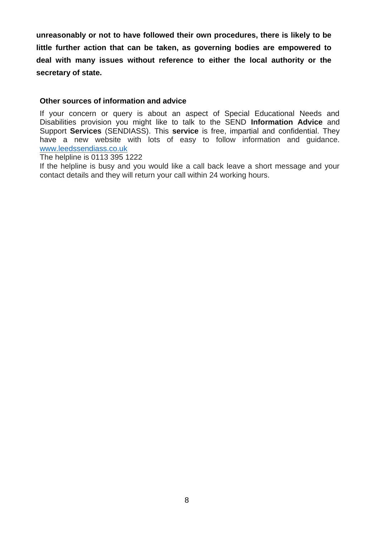**unreasonably or not to have followed their own procedures, there is likely to be little further action that can be taken, as governing bodies are empowered to deal with many issues without reference to either the local authority or the secretary of state.**

#### **Other sources of information and advice**

If your concern or query is about an aspect of Special Educational Needs and Disabilities provision you might like to talk to the SEND **Information Advice** and Support **Services** (SENDIASS). This **service** is free, impartial and confidential. They have a new website with lots of easy to follow information and guidance. [www.leedssendiass.co.uk](http://www.leedssendiass.co.uk/)

The helpline is 0113 395 1222

If the helpline is busy and you would like a call back leave a short message and your contact details and they will return your call within 24 working hours.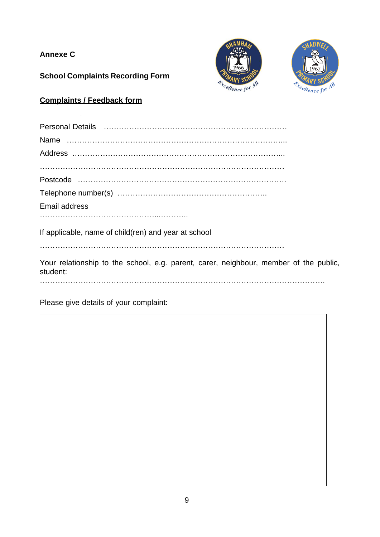#### **Annexe C**

**School Complaints Recording Form**





#### **Complaints / Feedback form**

| <b>Email address</b>                                 |
|------------------------------------------------------|
| If applicable, name of child(ren) and year at school |

Your relationship to the school, e.g. parent, carer, neighbour, member of the public, student:

………………………………………………………………………………………………….

Please give details of your complaint: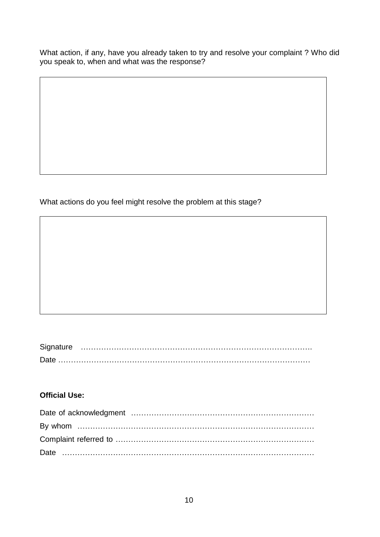What action, if any, have you already taken to try and resolve your complaint ? Who did you speak to, when and what was the response?

What actions do you feel might resolve the problem at this stage?

| Signature |  |  |
|-----------|--|--|
|           |  |  |

#### **Official Use:**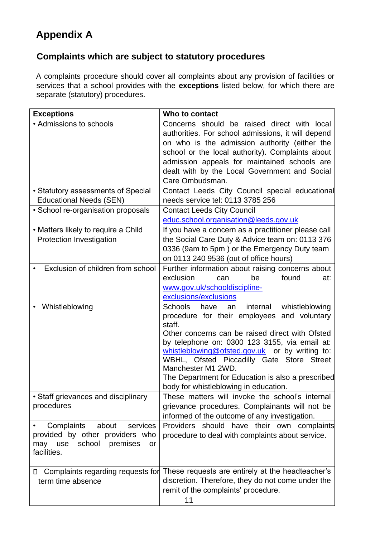#### **Appendix A**

#### **Complaints which are subject to statutory procedures**

A complaints procedure should cover all complaints about any provision of facilities or services that a school provides with the **exceptions** listed below, for which there are separate (statutory) procedures.

| <b>Exceptions</b>                                                                                                        | Who to contact                                                                                                                                                                                                                                                                                                                                                                                                                      |
|--------------------------------------------------------------------------------------------------------------------------|-------------------------------------------------------------------------------------------------------------------------------------------------------------------------------------------------------------------------------------------------------------------------------------------------------------------------------------------------------------------------------------------------------------------------------------|
| • Admissions to schools                                                                                                  | Concerns should be raised direct with local<br>authorities. For school admissions, it will depend<br>on who is the admission authority (either the<br>school or the local authority). Complaints about<br>admission appeals for maintained schools are<br>dealt with by the Local Government and Social<br>Care Ombudsman.                                                                                                          |
| • Statutory assessments of Special<br><b>Educational Needs (SEN)</b>                                                     | Contact Leeds City Council special educational<br>needs service tel: 0113 3785 256                                                                                                                                                                                                                                                                                                                                                  |
| • School re-organisation proposals                                                                                       | <b>Contact Leeds City Council</b><br>educ.school.organisation@leeds.gov.uk                                                                                                                                                                                                                                                                                                                                                          |
| • Matters likely to require a Child<br><b>Protection Investigation</b>                                                   | If you have a concern as a practitioner please call<br>the Social Care Duty & Advice team on: 0113 376<br>0336 (9am to 5pm) or the Emergency Duty team<br>on 0113 240 9536 (out of office hours)                                                                                                                                                                                                                                    |
| Exclusion of children from school                                                                                        | Further information about raising concerns about<br>exclusion<br>found<br>be<br>can<br>at:<br>www.gov.uk/schooldiscipline-<br>exclusions/exclusions                                                                                                                                                                                                                                                                                 |
| Whistleblowing                                                                                                           | internal<br>whistleblowing<br>Schools<br>have<br>an<br>procedure for their employees and voluntary<br>staff.<br>Other concerns can be raised direct with Ofsted<br>by telephone on: 0300 123 3155, via email at:<br>whistleblowing@ofsted.gov.uk or by writing to:<br>WBHL, Ofsted Piccadilly Gate Store Street<br>Manchester M1 2WD.<br>The Department for Education is also a prescribed<br>body for whistleblowing in education. |
| • Staff grievances and disciplinary<br>procedures                                                                        | These matters will invoke the school's internal<br>grievance procedures. Complainants will not be<br>informed of the outcome of any investigation.                                                                                                                                                                                                                                                                                  |
| Complaints<br>about<br>services<br>provided by other providers who<br>school<br>premises<br>may use<br>or<br>facilities. | Providers should have their own complaints<br>procedure to deal with complaints about service.                                                                                                                                                                                                                                                                                                                                      |
| Complaints regarding requests for<br>П,<br>term time absence                                                             | These requests are entirely at the headteacher's<br>discretion. Therefore, they do not come under the<br>remit of the complaints' procedure.<br>11                                                                                                                                                                                                                                                                                  |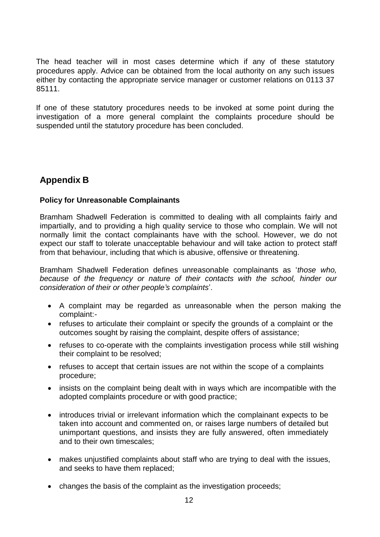The head teacher will in most cases determine which if any of these statutory procedures apply. Advice can be obtained from the local authority on any such issues either by contacting the appropriate service manager or customer relations on 0113 37 85111.

If one of these statutory procedures needs to be invoked at some point during the investigation of a more general complaint the complaints procedure should be suspended until the statutory procedure has been concluded.

#### **Appendix B**

#### **Policy for Unreasonable Complainants**

Bramham Shadwell Federation is committed to dealing with all complaints fairly and impartially, and to providing a high quality service to those who complain. We will not normally limit the contact complainants have with the school. However, we do not expect our staff to tolerate unacceptable behaviour and will take action to protect staff from that behaviour, including that which is abusive, offensive or threatening.

Bramham Shadwell Federation defines unreasonable complainants as '*those who, because of the frequency or nature of their contacts with the school, hinder our consideration of their or other people's complaints*'.

- A complaint may be regarded as unreasonable when the person making the complaint:-
- refuses to articulate their complaint or specify the grounds of a complaint or the outcomes sought by raising the complaint, despite offers of assistance;
- refuses to co-operate with the complaints investigation process while still wishing their complaint to be resolved;
- refuses to accept that certain issues are not within the scope of a complaints procedure;
- insists on the complaint being dealt with in ways which are incompatible with the adopted complaints procedure or with good practice;
- introduces trivial or irrelevant information which the complainant expects to be taken into account and commented on, or raises large numbers of detailed but unimportant questions, and insists they are fully answered, often immediately and to their own timescales;
- makes unjustified complaints about staff who are trying to deal with the issues, and seeks to have them replaced;
- changes the basis of the complaint as the investigation proceeds;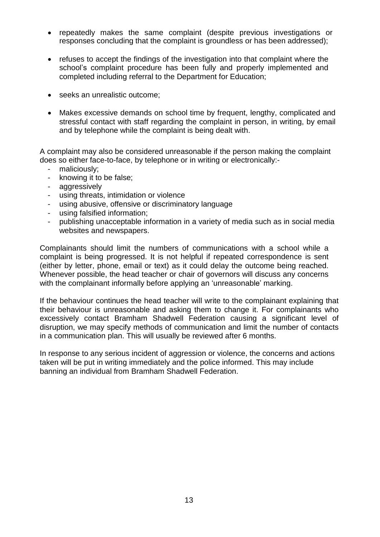- repeatedly makes the same complaint (despite previous investigations or responses concluding that the complaint is groundless or has been addressed);
- refuses to accept the findings of the investigation into that complaint where the school's complaint procedure has been fully and properly implemented and completed including referral to the Department for Education;
- seeks an unrealistic outcome;
- Makes excessive demands on school time by frequent, lengthy, complicated and stressful contact with staff regarding the complaint in person, in writing, by email and by telephone while the complaint is being dealt with.

A complaint may also be considered unreasonable if the person making the complaint does so either face-to-face, by telephone or in writing or electronically:-

- maliciously;
- knowing it to be false;
- aggressively
- using threats, intimidation or violence
- using abusive, offensive or discriminatory language
- using falsified information;
- publishing unacceptable information in a variety of media such as in social media websites and newspapers.

Complainants should limit the numbers of communications with a school while a complaint is being progressed. It is not helpful if repeated correspondence is sent (either by letter, phone, email or text) as it could delay the outcome being reached. Whenever possible, the head teacher or chair of governors will discuss any concerns with the complainant informally before applying an 'unreasonable' marking.

If the behaviour continues the head teacher will write to the complainant explaining that their behaviour is unreasonable and asking them to change it. For complainants who excessively contact Bramham Shadwell Federation causing a significant level of disruption, we may specify methods of communication and limit the number of contacts in a communication plan. This will usually be reviewed after 6 months.

In response to any serious incident of aggression or violence, the concerns and actions taken will be put in writing immediately and the police informed. This may include banning an individual from Bramham Shadwell Federation.